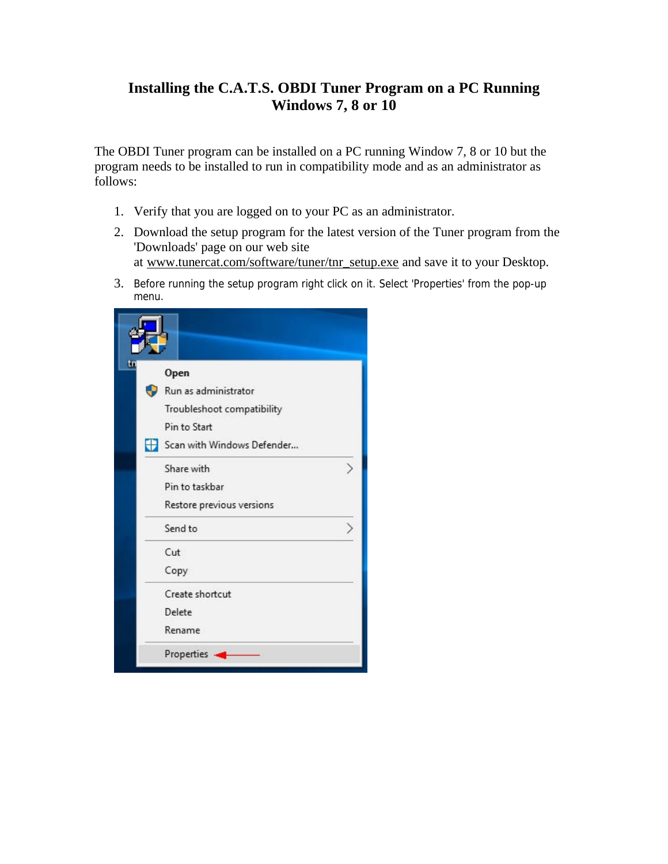## **Installing the C.A.T.S. OBDI Tuner Program on a PC Running Windows 7, 8 or 10**

The OBDI Tuner program can be installed on a PC running Window 7, 8 or 10 but the program needs to be installed to run in compatibility mode and as an administrator as follows:

- 1. Verify that you are logged on to your PC as an administrator.
- 2. Download the setup program for the latest version of the Tuner program from the 'Downloads' page on our web site at www.tunercat.com/software/tuner/tnr\_setup.exe and save it to your Desktop.
- 3. Before running the setup program right click on it. Select 'Properties' from the pop-up menu.

| Open                       |  |
|----------------------------|--|
| Run as administrator       |  |
| Troubleshoot compatibility |  |
| Pin to Start               |  |
| Scan with Windows Defender |  |
| Share with                 |  |
| Pin to taskbar             |  |
| Restore previous versions  |  |
| Send to                    |  |
| Cut                        |  |
| Copy                       |  |
| Create shortcut            |  |
| Delete                     |  |
| Rename                     |  |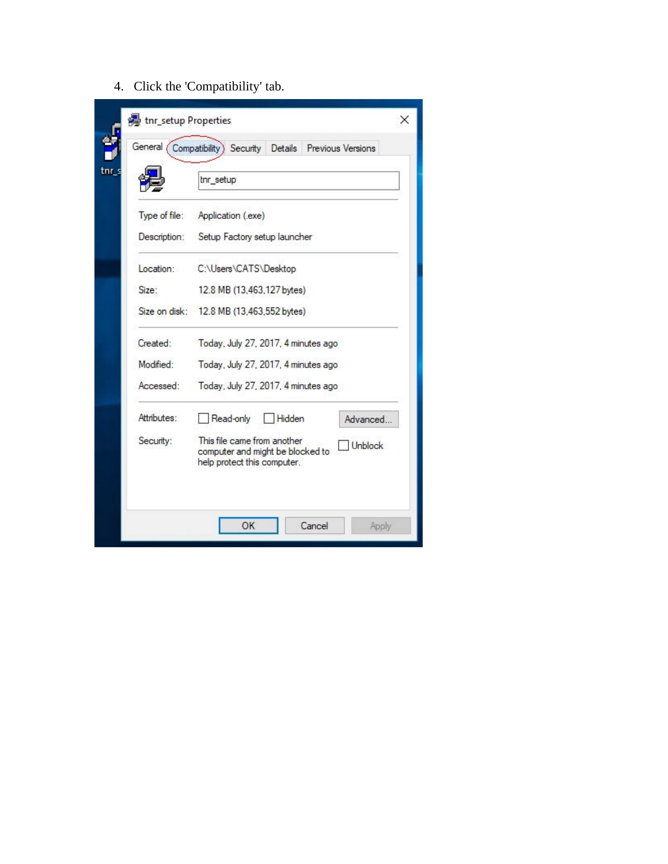4. Click the 'Compatibility' tab.

|               | tnr_setup                                                                                                        |
|---------------|------------------------------------------------------------------------------------------------------------------|
| Type of file: | Application (.exe)                                                                                               |
| Description:  | Setup Factory setup launcher                                                                                     |
| Location:     | C:\Users\CATS\Desktop                                                                                            |
| Size:         | 12.8 MB (13,463,127 bytes).                                                                                      |
| Size on disk: | 12.8 MB (13.463.552 bytes)                                                                                       |
| Created:      | Today, July 27, 2017, 4 minutes ago                                                                              |
| Modified:     | Today, July 27, 2017, 4 minutes ago                                                                              |
| Accessed:     | Today, July 27, 2017, 4 minutes ago                                                                              |
| Attributes:   | Read-only<br>Hidden<br>Advanced                                                                                  |
| Security:     | This file came from another<br><b>Unblock</b><br>computer and might be blocked to<br>help protect this computer. |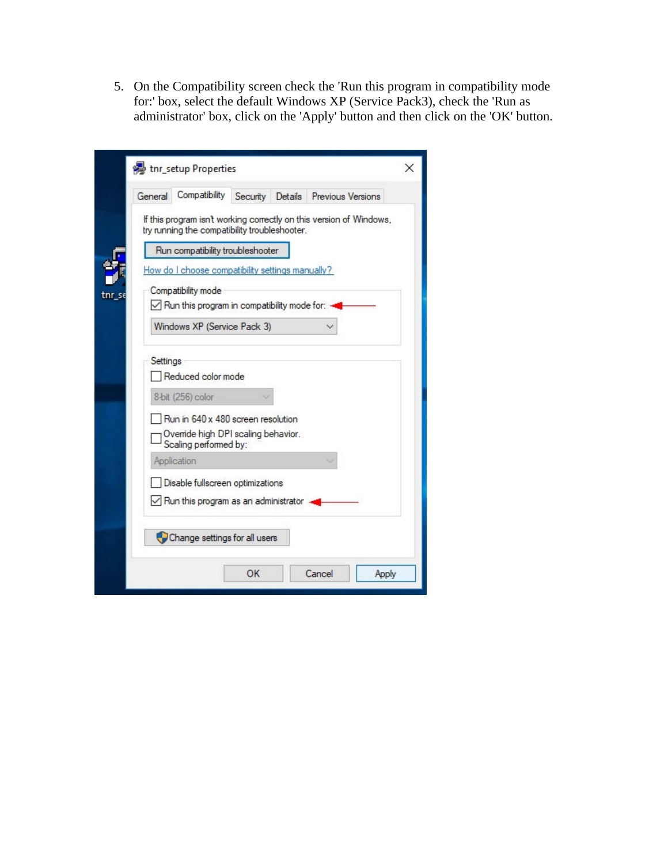5. On the Compatibility screen check the 'Run this program in compatibility mode for:' box, select the default Windows XP (Service Pack3), check the 'Run as administrator' box, click on the 'Apply' button and then click on the 'OK' button.

|  | General  | Compatibility                                                                   |                                                                                                                                                                                         | Security Details Previous Versions                                  |
|--|----------|---------------------------------------------------------------------------------|-----------------------------------------------------------------------------------------------------------------------------------------------------------------------------------------|---------------------------------------------------------------------|
|  |          |                                                                                 | try running the compatibility troubleshooter.                                                                                                                                           | If this program isn't working correctly on this version of Windows, |
|  |          |                                                                                 | Run compatibility troubleshooter                                                                                                                                                        |                                                                     |
|  |          |                                                                                 | How do I choose compatibility settings manually?                                                                                                                                        |                                                                     |
|  |          | Compatibility mode                                                              | $\vee$ Run this program in compatibility mode for: $\triangleleft$                                                                                                                      |                                                                     |
|  |          |                                                                                 | Windows XP (Service Pack 3)                                                                                                                                                             |                                                                     |
|  | Settings | Reduced color mode<br>8-bit (256) color<br>Scaling performed by:<br>Application | Run in 640 x 480 screen resolution<br>Ovenide high DPI scaling behavior.<br>Disable fullscreen optimizations<br>$\sqrt{\phantom{a}}$ Run this program as an administrator $\rightarrow$ |                                                                     |
|  |          |                                                                                 | Change settings for all users                                                                                                                                                           |                                                                     |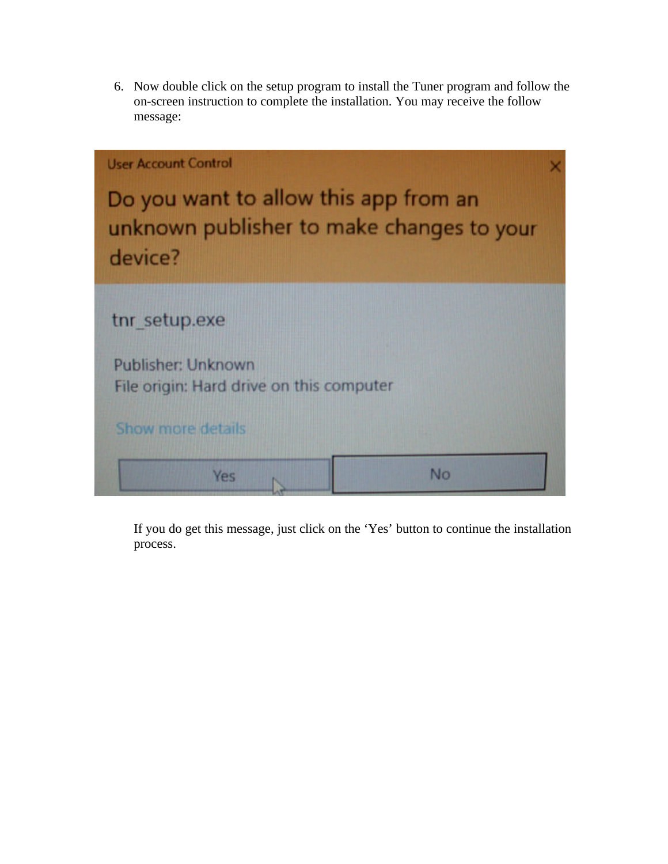6. Now double click on the setup program to install the Tuner program and follow the on-screen instruction to complete the installation. You may receive the follow message:



If you do get this message, just click on the 'Yes' button to continue the installation process.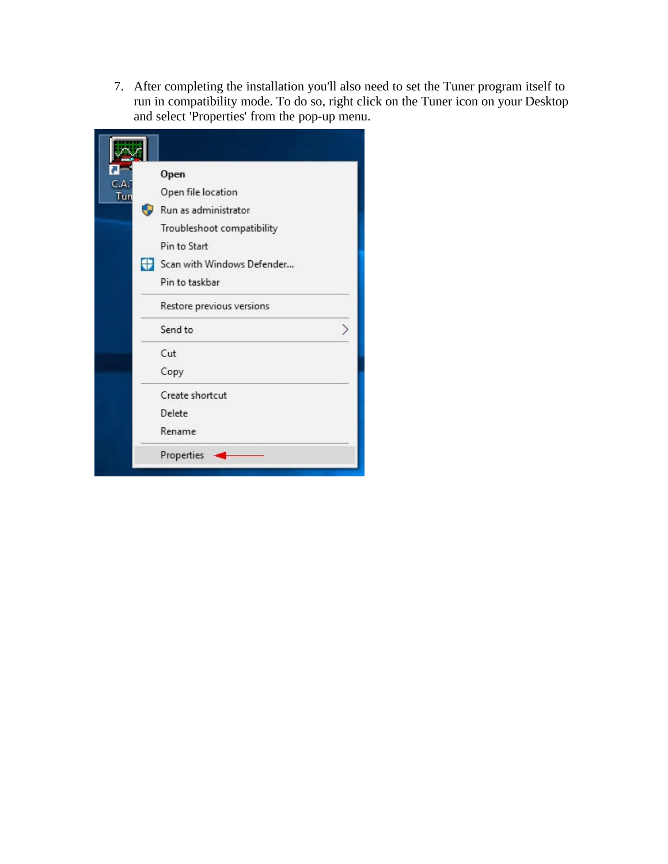7. After completing the installation you'll also need to set the Tuner program itself to run in compatibility mode. To do so, right click on the Tuner icon on your Desktop and select 'Properties' from the pop-up menu.

|             | Open                       |
|-------------|----------------------------|
| C.A.<br>Tun | Open file location         |
|             | Run as administrator       |
|             | Troubleshoot compatibility |
|             | Pin to Start               |
|             | Scan with Windows Defender |
|             | Pin to taskbar             |
|             | Restore previous versions  |
|             | Send to                    |
|             | Cut                        |
|             | Copy                       |
|             | Create shortcut            |
|             | Delete                     |
|             | Rename                     |
|             | Properties                 |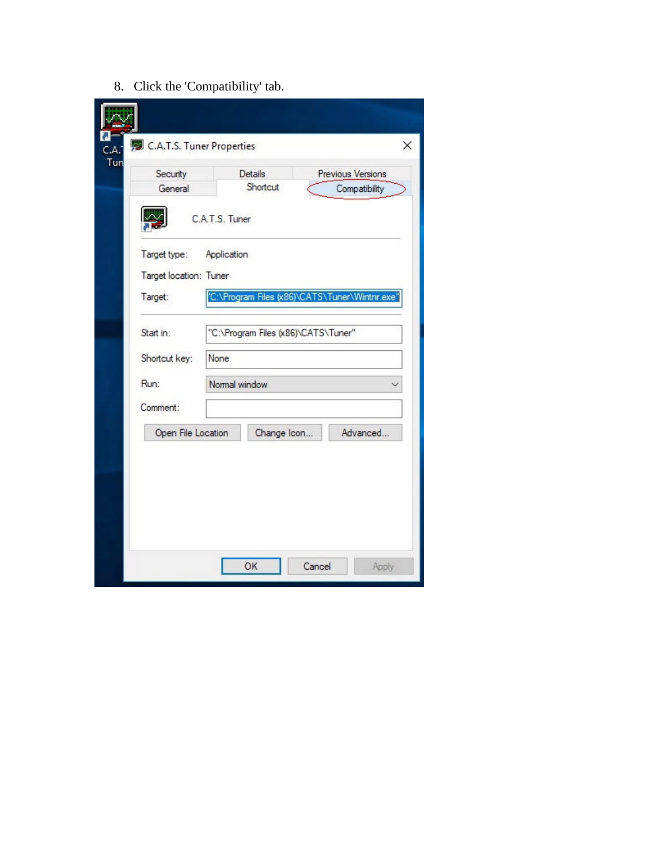8. Click the 'Compatibility' tab.

| Security<br>General    |                | Details<br>Shortcut                           | Previous Versions<br>Compatibility |
|------------------------|----------------|-----------------------------------------------|------------------------------------|
|                        | C.A.T.S. Tuner |                                               |                                    |
| Target type:           | Application    |                                               |                                    |
| Target location: Tuner |                |                                               |                                    |
| Target:                |                | C:\Program Files (x86)\CATS\Tuner\Wintnr.exe" |                                    |
| Start in:              |                | "C:\Program Files (x86)\CATS\Tuner"           |                                    |
| Shortcut key:          | None           |                                               |                                    |
| Run:                   | Normal window  |                                               |                                    |
| Comment:               |                |                                               |                                    |
| Open File Location     |                | Change Icon                                   | Advanced                           |
|                        |                |                                               |                                    |
|                        |                |                                               |                                    |
|                        |                |                                               |                                    |